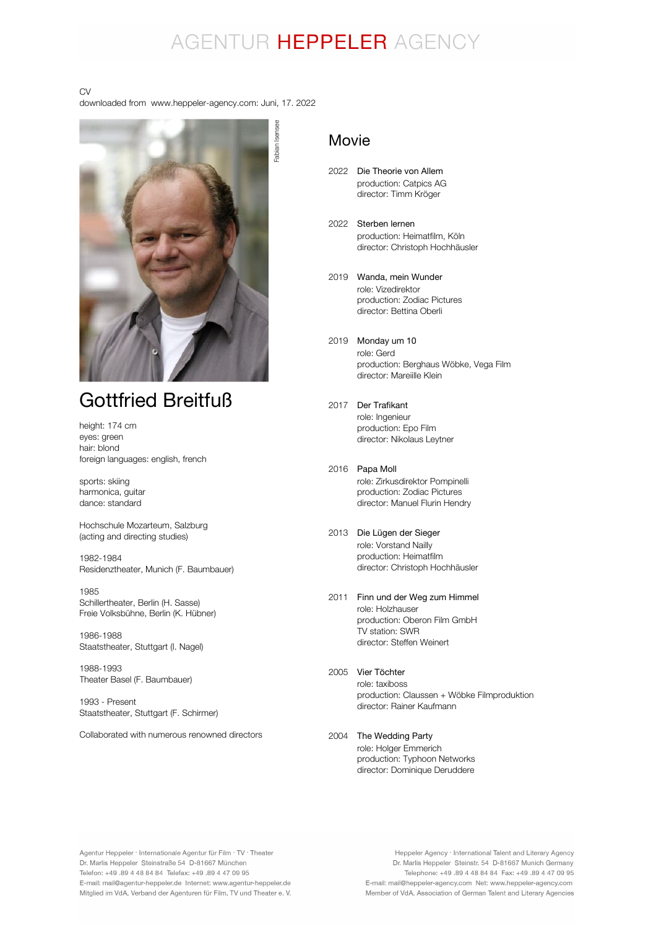## AGENTUR HEPPELER AGENCY

Fabian Isensee

#### CV

downloaded from www.heppeler-agency.com: Juni, 17. 2022



## Gottfried Breitfuß

height: 174 cm eyes: green hair: blond foreign languages: english, french

sports: skiing harmonica, guitar dance: standard

Hochschule Mozarteum, Salzburg (acting and directing studies)

1982-1984 Residenztheater, Munich (F. Baumbauer)

1985 Schillertheater, Berlin (H. Sasse) Freie Volksbühne, Berlin (K. Hübner)

1986-1988 Staatstheater, Stuttgart (I. Nagel)

1988-1993 Theater Basel (F. Baumbauer)

1993 - Present Staatstheater, Stuttgart (F. Schirmer)

Collaborated with numerous renowned directors

### Movie

- 2022 Die Theorie von Allem production: Catpics AG director: Timm Kröger
- 2022 Sterben lernen production: Heimatfilm, Köln director: Christoph Hochhäusler
- 2019 Wanda, mein Wunder role: Vizedirektor production: Zodiac Pictures director: Bettina Oberli
- 2019 Monday um 10 role: Gerd production: Berghaus Wöbke, Vega Film director: Mareiille Klein
- 2017 Der Trafikant role: Ingenieur production: Epo Film director: Nikolaus Leytner
- 2016 Papa Moll role: Zirkusdirektor Pompinelli production: Zodiac Pictures director: Manuel Flurin Hendry
- 2013 Die Lügen der Sieger role: Vorstand Nailly production: Heimatfilm director: Christoph Hochhäusler
- 2011 Finn und der Weg zum Himmel role: Holzhauser production: Oberon Film GmbH TV station: SWR director: Steffen Weinert
- 2005 Vier Töchter role: taxiboss production: Claussen + Wöbke Filmproduktion director: Rainer Kaufmann
- 2004 The Wedding Partyrole: Holger Emmerich production: Typhoon Networks director: Dominique Deruddere

Agentur Heppeler · Internationale Agentur für Film · TV · Theater Dr. Marlis Heppeler Steinstraße 54 D-81667 München Telefon: +49.89 4 48 84 84 Telefax: +49.89 4 47 09 95 E-mail: mail@agentur-heppeler.de Internet: www.agentur-heppeler.de Mitglied im VdA, Verband der Agenturen für Film, TV und Theater e. V.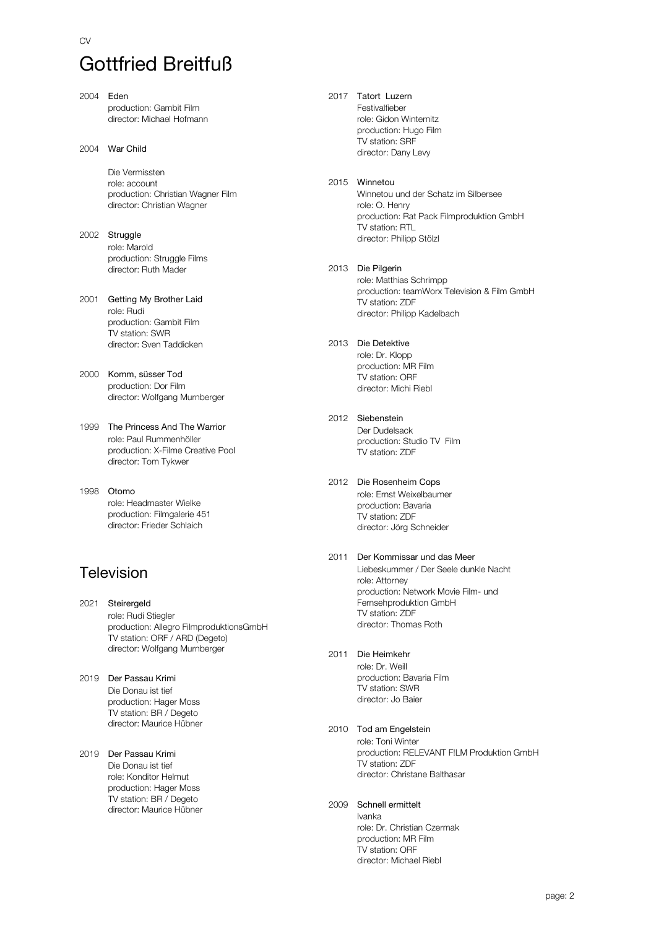# Gottfried Breitfuß

- 2004 Eden production: Gambit Film director: Michael Hofmann
- 2004 War Child

CV

Die Vermissten role: account production: Christian Wagner Film director: Christian Wagner

- 2002 Struggle role: Marold production: Struggle Films director: Ruth Mader
- 2001 Getting My Brother Laid role: Rudi production: Gambit Film TV station: SWR director: Sven Taddicken
- 2000 Komm, süsser Tod production: Dor Film director: Wolfgang Murnberger
- 1999 The Princess And The Warrior role: Paul Rummenhöller production: X-Filme Creative Pool director: Tom Tykwer

1998 Otomo role: Headmaster Wielke production: Filmgalerie 451 director: Frieder Schlaich

### Television

- 2021 Steirergeld role: Rudi Stiegler production: Allegro FilmproduktionsGmbH TV station: ORF / ARD (Degeto) director: Wolfgang Murnberger
- 2019 Der Passau Krimi Die Donau ist tief production: Hager Moss TV station: BR / Degeto director: Maurice Hübner
- 2019 Der Passau Krimi Die Donau ist tief role: Konditor Helmut production: Hager Moss TV station: BR / Degeto director: Maurice Hübner

2017 Tatort Luzern Festivalfieber role: Gidon Winternitz production: Hugo Film TV station: SRF director: Dany Levy

#### 2015 Winnetou

Winnetou und der Schatz im Silbersee role: O. Henry production: Rat Pack Filmproduktion GmbH TV station: RTL director: Philipp Stölzl

2013 Die Pilgerin

role: Matthias Schrimpp production: teamWorx Television & Film GmbH TV station: ZDF director: Philipp Kadelbach

#### 2013 Die Detektive

role: Dr. Klopp production: MR Film TV station: ORF director: Michi Riebl

2012 Siebenstein

Der Dudelsack production: Studio TV Film TV station: ZDF

- 2012 Die Rosenheim Cops role: Ernst Weixelbaumer production: Bavaria TV station: ZDF director: Jörg Schneider
- 2011 Der Kommissar und das Meer Liebeskummer / Der Seele dunkle Nacht role: Attorney production: Network Movie Film- und Fernsehproduktion GmbH TV station: ZDF director: Thomas Roth
- 2011 Die Heimkehr role: Dr. Weill production: Bavaria Film TV station: SWR director: Jo Baier

#### 2010 Tod am Engelstein

role: Toni Winter production: RELEVANT F!LM Produktion GmbH TV station: ZDF director: Christane Balthasar

#### 2009 Schnell ermittelt

Ivanka role: Dr. Christian Czermak production: MR Film TV station: ORF director: Michael Riebl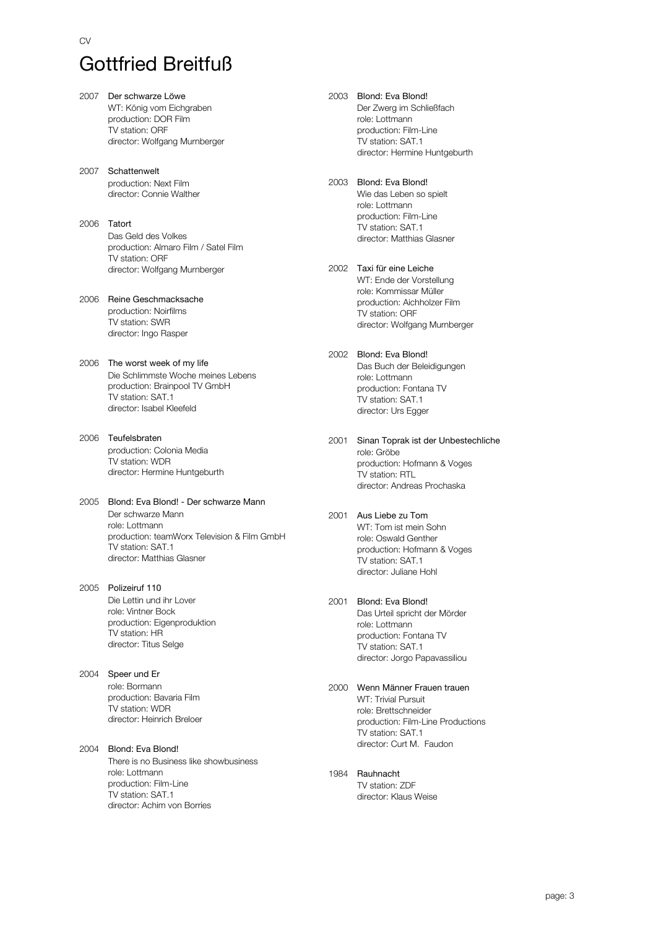# Gottfried Breitfuß

- 2007 Der schwarze Löwe WT: König vom Eichgraben production: DOR Film TV station: ORF director: Wolfgang Murnberger
- 2007 Schattenwelt production: Next Film director: Connie Walther
- 2006 Tatort Das Geld des Volkes production: Almaro Film / Satel Film TV station: ORF director: Wolfgang Murnberger
- 2006 Reine Geschmacksache production: Noirfilms TV station: SWR director: Ingo Rasper
- 2006 The worst week of my life Die Schlimmste Woche meines Lebens production: Brainpool TV GmbH TV station: SAT.1 director: Isabel Kleefeld
- 2006 Teufelsbraten production: Colonia Media TV station: WDR director: Hermine Huntgeburth
- 2005 Blond: Eva Blond! Der schwarze Mann Der schwarze Mann role: Lottmann production: teamWorx Television & Film GmbH TV station: SAT.1 director: Matthias Glasner
- 2005 Polizeiruf 110 Die Lettin und ihr Lover role: Vintner Bock production: Eigenproduktion TV station: HR director: Titus Selge
- 2004 Speer und Er role: Bormann production: Bavaria Film TV station: WDR director: Heinrich Breloer
- 2004 Blond: Eva Blond! There is no Business like showbusiness role: Lottmann production: Film-Line TV station: SAT.1 director: Achim von Borries
- 2003 Blond: Eva Blond! Der Zwerg im Schließfach role: Lottmann production: Film-Line TV station: SAT.1 director: Hermine Huntgeburth
- 2003 Blond: Eva Blond! Wie das Leben so spielt role: Lottmann production: Film-Line TV station: SAT.1 director: Matthias Glasner
- 2002 Taxi für eine Leiche WT: Ende der Vorstellung role: Kommissar Müller production: Aichholzer Film TV station: ORF director: Wolfgang Murnberger
- 2002 Blond: Eva Blond! Das Buch der Beleidigungen role: Lottmann production: Fontana TV TV station: SAT.1 director: Urs Egger
- 2001 Sinan Toprak ist der Unbestechliche role: Gröbe production: Hofmann & Voges TV station: RTL director: Andreas Prochaska
- 2001 Aus Liebe zu Tom WT: Tom ist mein Sohn role: Oswald Genther production: Hofmann & Voges TV station: SAT.1 director: Juliane Hohl
- 2001 Blond: Eva Blond! Das Urteil spricht der Mörder role: Lottmann production: Fontana TV TV station: SAT.1 director: Jorgo Papavassiliou
	- 2000 Wenn Männer Frauen trauen WT: Trivial Pursuit role: Brettschneider production: Film-Line Productions TV station: SAT.1 director: Curt M. Faudon
	- 1984 Rauhnacht TV station: ZDF director: Klaus Weise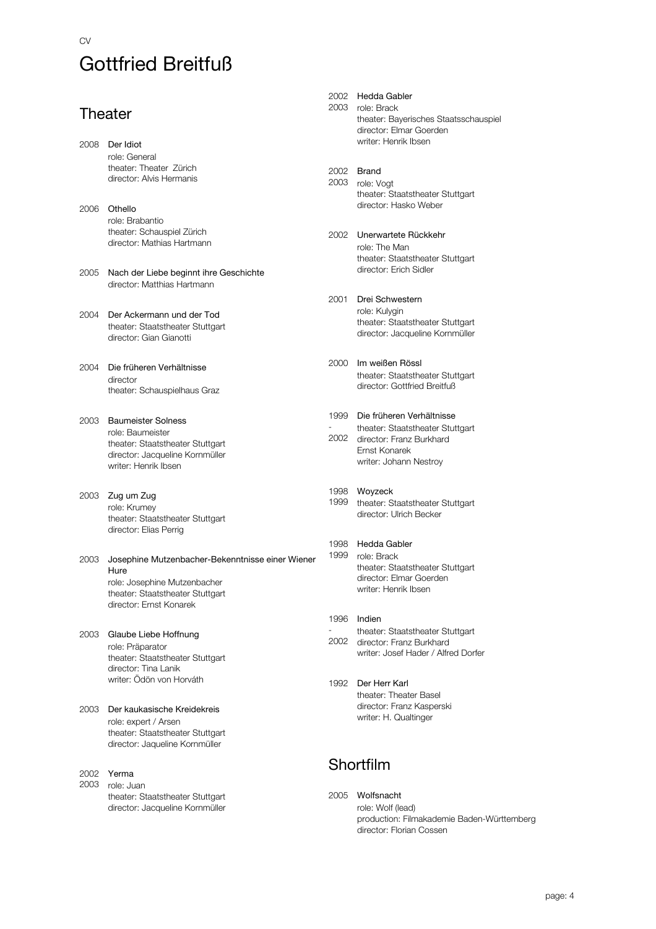### CV Gottfried Breitfuß

### **Theater**

|              | 2008 Der Idiot<br>role: General<br>theater: Theater Zürich<br>director: Alvis Hermanis                                                                  |
|--------------|---------------------------------------------------------------------------------------------------------------------------------------------------------|
| 2006         | Othello<br>role: Brabantio<br>theater: Schauspiel Zürich<br>director: Mathias Hartmann                                                                  |
| 2005         | Nach der Liebe beginnt ihre Geschichte<br>director: Matthias Hartmann                                                                                   |
| 2004         | Der Ackermann und der Tod<br>theater: Staatstheater Stuttgart<br>director: Gian Gianotti                                                                |
| 2004         | Die früheren Verhältnisse<br>director<br>theater: Schauspielhaus Graz                                                                                   |
| 2003         | <b>Baumeister Solness</b><br>role: Baumeister<br>theater: Staatstheater Stuttgart<br>director: Jacqueline Kornmüller<br>writer: Henrik Ibsen            |
| 2003         | Zug um Zug<br>role: Krumey<br>theater: Staatstheater Stuttgart<br>director: Elias Perrig                                                                |
| 2003         | Josephine Mutzenbacher-Bekenntnisse einer Wiener<br>Hure<br>role: Josephine Mutzenbacher<br>theater: Staatstheater Stuttgart<br>director: Ernst Konarek |
| 2003         | Glaube Liebe Hoffnung<br>role: Präparator<br>theater: Staatstheater Stuttgart<br>director: Tina Lanik<br>writer: Ödön von Horváth                       |
| 2003         | Der kaukasische Kreidekreis<br>role: expert / Arsen<br>theater: Staatstheater Stuttgart<br>director: Jaqueline Kornmüller                               |
| 2002<br>2003 | Yerma<br>role: Juan<br>theater: Staatstheater Stuttgart<br>director: Jacqueline Kornmüller                                                              |

#### 2002 Hedda Gabler

2003 role: Brack theater: Bayerisches Staatsschauspiel director: Elmar Goerden writer: Henrik Ibsen

2002 Brand

- 2003 role: Vogt theater: Staatstheater Stuttgart director: Hasko Weber
- 2002 Unerwartete Rückkehr role: The Man theater: Staatstheater Stuttgart director: Erich Sidler
- 2001 Drei Schwestern role: Kulygin theater: Staatstheater Stuttgart director: Jacqueline Kornmüller
- 2000 Im weißen Rössl theater: Staatstheater Stuttgart director: Gottfried Breitfuß
- 1999 Die früheren Verhältnisse - 2002 director: Franz Burkhard theater: Staatstheater Stuttgart Ernst Konarek writer: Johann Nestroy
- 1998 Woyzeck 1999 theater: Staatstheater Stuttgart
- director: Ulrich Becker 1998 Hedda Gabler
- 1999 role: Brack theater: Staatstheater Stuttgart director: Elmar Goerden writer: Henrik Ibsen
- 1996 Indien - 2002 director: Franz Burkhard theater: Staatstheater Stuttgart writer: Josef Hader / Alfred Dorfer
- 1992 Der Herr Karl theater: Theater Basel director: Franz Kasperski writer: H. Qualtinger

### Shortfilm

2005 Wolfsnacht role: Wolf (lead) production: Filmakademie Baden-Württemberg director: Florian Cossen